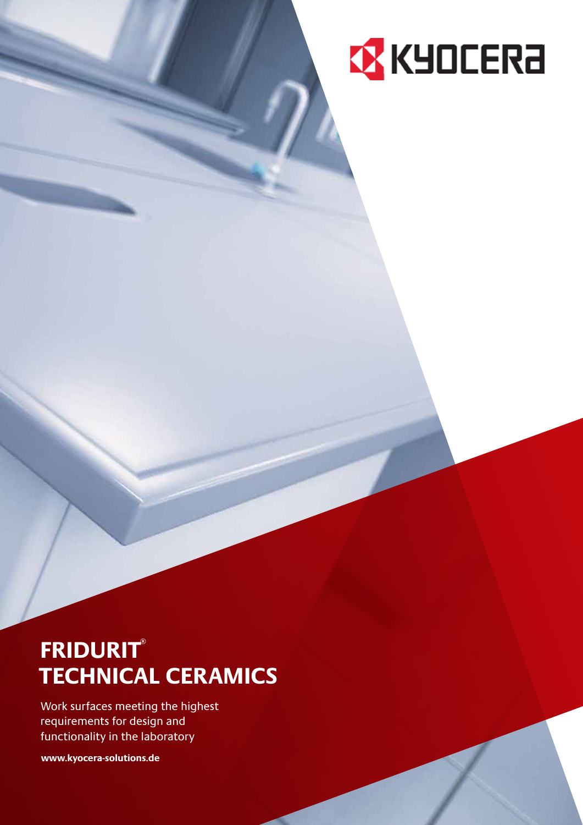# **X** KYOCERA

# **FRIDURIT® TECHNICAL CERAMICS**

Work surfaces meeting the highest requirements for design and functionality in the laboratory

**[www.kyocera-solutions.de](http://www.kyocera-solutions.de)**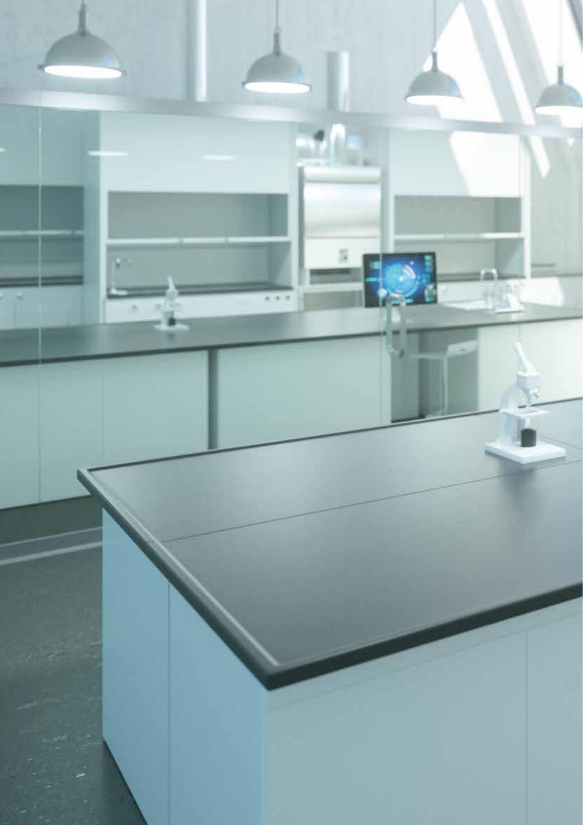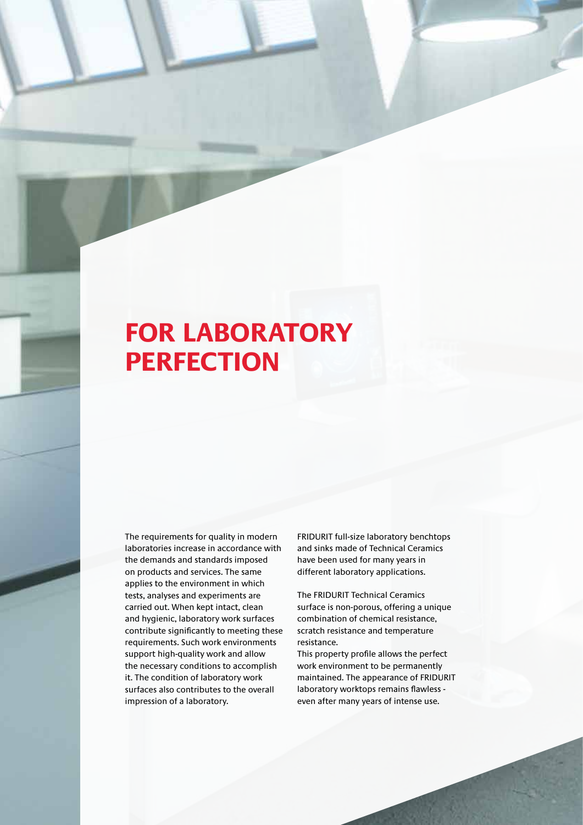# **FOR LABORATORY PERFECTION**

The requirements for quality in modern laboratories increase in accordance with the demands and standards imposed on products and services. The same applies to the environment in which tests, analyses and experiments are carried out. When kept intact, clean and hygienic, laboratory work surfaces contribute significantly to meeting these requirements. Such work environments support high-quality work and allow the necessary conditions to accomplish it. The condition of laboratory work surfaces also contributes to the overall impression of a laboratory.

FRIDURIT full-size laboratory benchtops and sinks made of Technical Ceramics have been used for many years in different laboratory applications.

The FRIDURIT Technical Ceramics surface is non-porous, offering a unique combination of chemical resistance, scratch resistance and temperature resistance.

This property profile allows the perfect work environment to be permanently maintained. The appearance of FRIDURIT laboratory worktops remains flawless even after many years of intense use.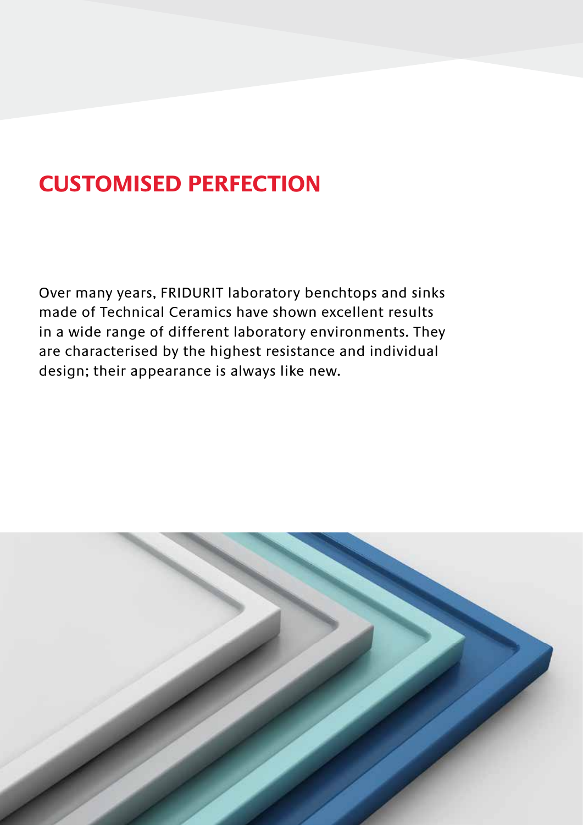# **CUSTOMISED PERFECTION**

Over many years, FRIDURIT laboratory benchtops and sinks made of Technical Ceramics have shown excellent results in a wide range of different laboratory environments. They are characterised by the highest resistance and individual design; their appearance is always like new.

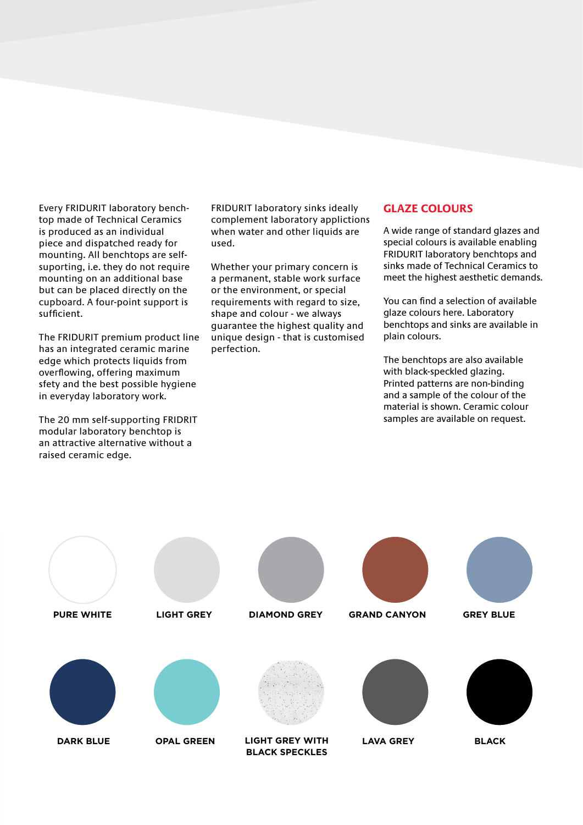Every FRIDURIT laboratory benchtop made of Technical Ceramics is produced as an individual piece and dispatched ready for mounting. All benchtops are selfsuporting, i.e. they do not require mounting on an additional base but can be placed directly on the cupboard. A four-point support is sufficient.

The FRIDURIT premium product line has an integrated ceramic marine edge which protects liquids from overflowing, offering maximum sfety and the best possible hygiene in everyday laboratory work.

The 20 mm self-supporting FRIDRIT modular laboratory benchtop is an attractive alternative without a raised ceramic edge.

FRIDURIT laboratory sinks ideally complement laboratory applictions when water and other liquids are used.

Whether your primary concern is a permanent, stable work surface or the environment, or special requirements with regard to size, shape and colour - we always guarantee the highest quality and unique design - that is customised perfection.

#### **GLAZE COLOURS**

A wide range of standard glazes and special colours is available enabling FRIDURIT laboratory benchtops and sinks made of Technical Ceramics to meet the highest aesthetic demands.

You can find a selection of available glaze colours here. Laboratory benchtops and sinks are available in plain colours.

The benchtops are also available with black-speckled glazing. Printed patterns are non-binding and a sample of the colour of the material is shown. Ceramic colour samples are available on request.

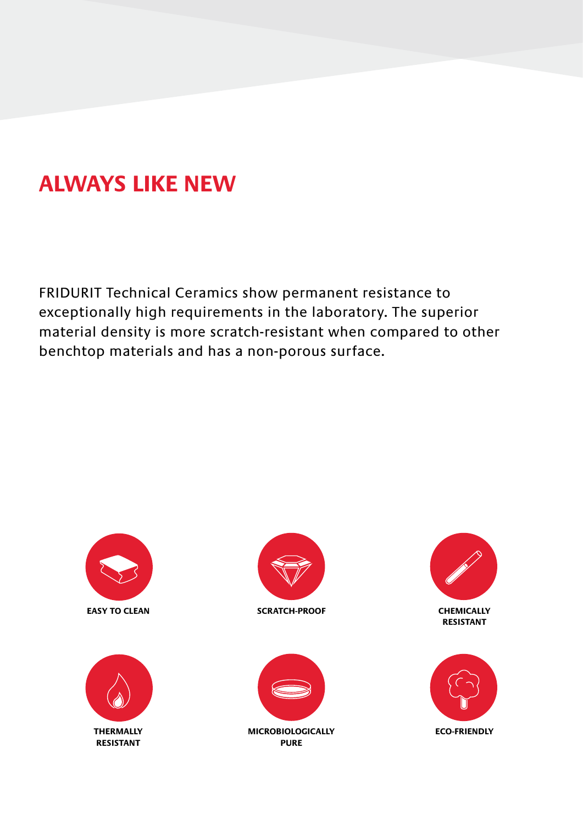# **ALWAYS LIKE NEW**

FRIDURIT Technical Ceramics show permanent resistance to exceptionally high requirements in the laboratory. The superior material density is more scratch-resistant when compared to other benchtop materials and has a non-porous surface.

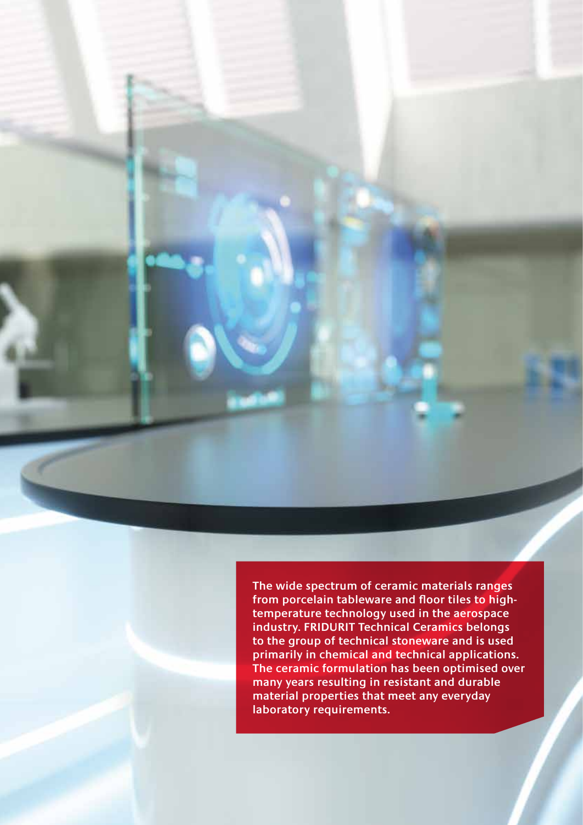**The wide spectrum of ceramic materials ranges from porcelain tableware and floor tiles to hightemperature technology used in the aerospace industry. FRIDURIT Technical Ceramics belongs to the group of technical stoneware and is used primarily in chemical and technical applications. The ceramic formulation has been optimised over many years resulting in resistant and durable material properties that meet any everyday laboratory requirements.**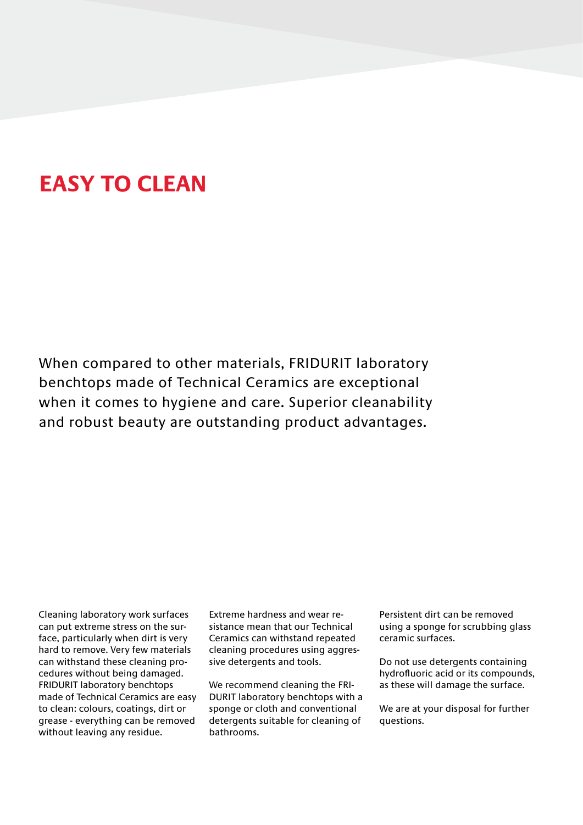# **EASY TO CLEAN**

When compared to other materials, FRIDURIT laboratory benchtops made of Technical Ceramics are exceptional when it comes to hygiene and care. Superior cleanability and robust beauty are outstanding product advantages.

Cleaning laboratory work surfaces can put extreme stress on the surface, particularly when dirt is very hard to remove. Very few materials can withstand these cleaning procedures without being damaged. FRIDURIT laboratory benchtops made of Technical Ceramics are easy to clean: colours, coatings, dirt or grease - everything can be removed without leaving any residue.

Extreme hardness and wear resistance mean that our Technical Ceramics can withstand repeated cleaning procedures using aggressive detergents and tools.

We recommend cleaning the FRI-DURIT laboratory benchtops with a sponge or cloth and conventional detergents suitable for cleaning of bathrooms.

Persistent dirt can be removed using a sponge for scrubbing glass ceramic surfaces.

Do not use detergents containing hydrofluoric acid or its compounds, as these will damage the surface.

We are at your disposal for further questions.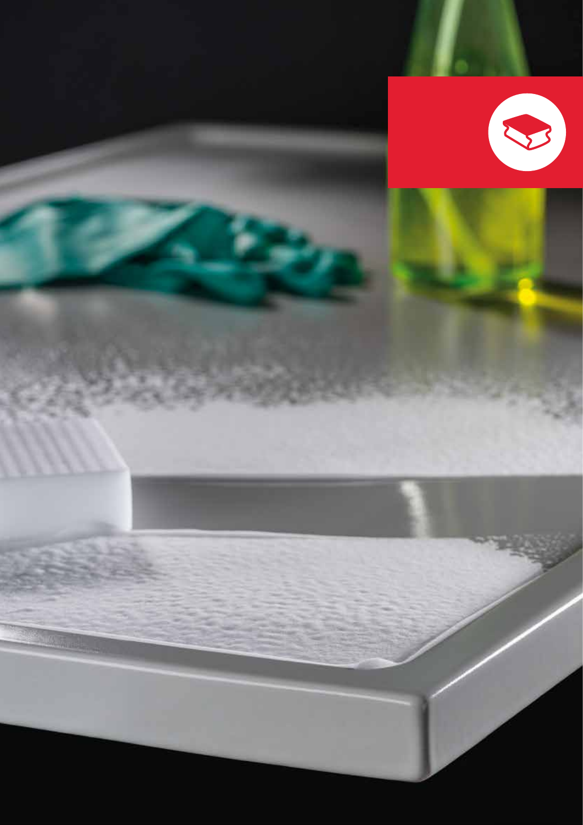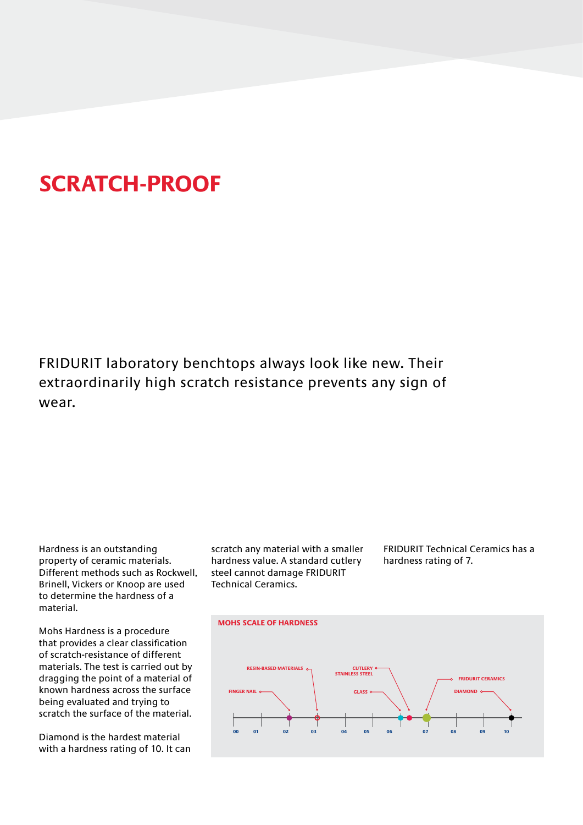# **SCRATCH-PROOF**

FRIDURIT laboratory benchtops always look like new. Their extraordinarily high scratch resistance prevents any sign of wear.

Hardness is an outstanding property of ceramic materials. Different methods such as Rockwell, Brinell, Vickers or Knoop are used to determine the hardness of a material.

Mohs Hardness is a procedure that provides a clear classification of scratch-resistance of different materials. The test is carried out by dragging the point of a material of known hardness across the surface being evaluated and trying to scratch the surface of the material.

Diamond is the hardest material with a hardness rating of 10. It can scratch any material with a smaller hardness value. A standard cutlery steel cannot damage FRIDURIT Technical Ceramics.

FRIDURIT Technical Ceramics has a hardness rating of 7.

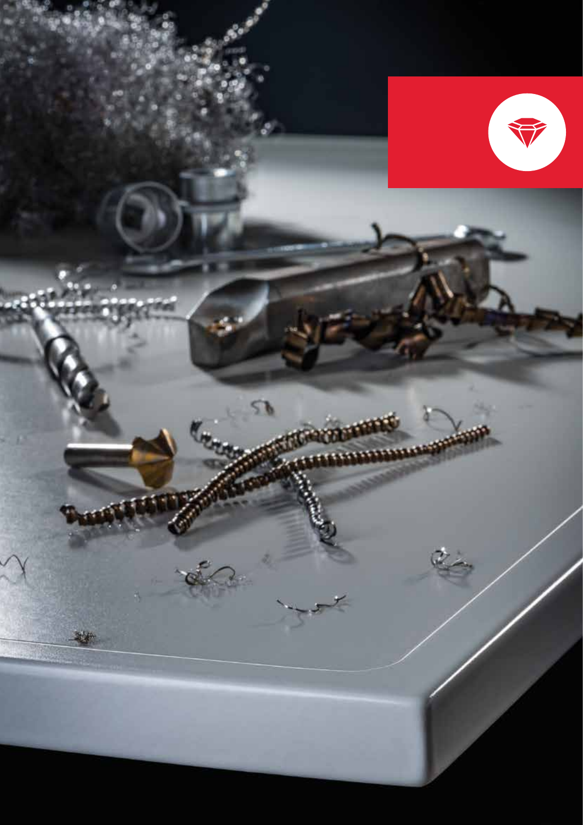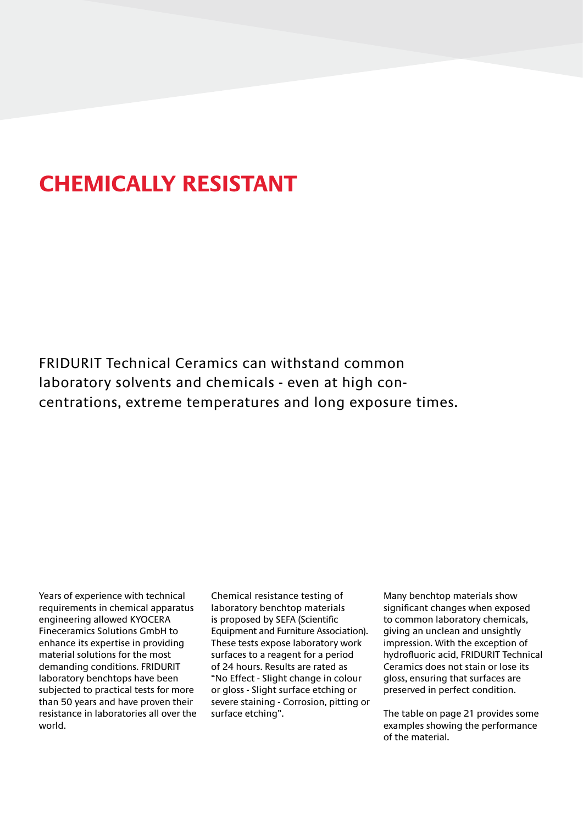# **CHEMICALLY RESISTANT**

FRIDURIT Technical Ceramics can withstand common laboratory solvents and chemicals - even at high concentrations, extreme temperatures and long exposure times.

Years of experience with technical requirements in chemical apparatus engineering allowed KYOCERA Fineceramics Solutions GmbH to enhance its expertise in providing material solutions for the most demanding conditions. FRIDURIT laboratory benchtops have been subjected to practical tests for more than 50 years and have proven their resistance in laboratories all over the world.

Chemical resistance testing of laboratory benchtop materials is proposed by SEFA (Scientific Equipment and Furniture Association). These tests expose laboratory work surfaces to a reagent for a period of 24 hours. Results are rated as "No Effect - Slight change in colour or gloss - Slight surface etching or severe staining - Corrosion, pitting or surface etching".

Many benchtop materials show significant changes when exposed to common laboratory chemicals, giving an unclean and unsightly impression. With the exception of hydrofluoric acid, FRIDURIT Technical Ceramics does not stain or lose its gloss, ensuring that surfaces are preserved in perfect condition.

The table on page 21 provides some examples showing the performance of the material.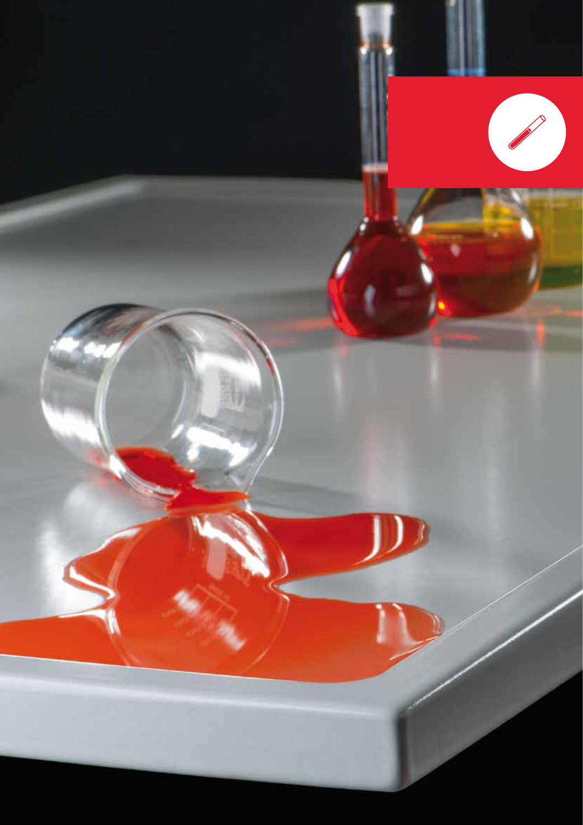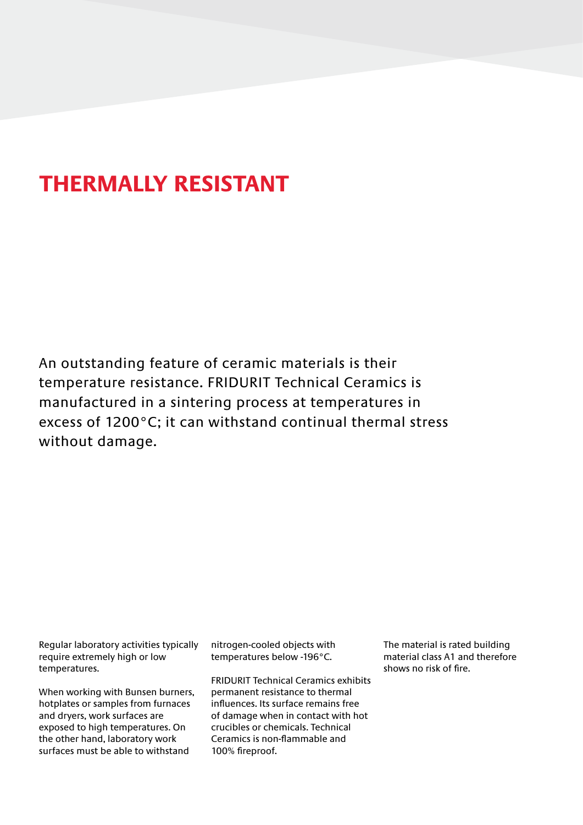### **THERMALLY RESISTANT**

An outstanding feature of ceramic materials is their temperature resistance. FRIDURIT Technical Ceramics is manufactured in a sintering process at temperatures in excess of 1200°C; it can withstand continual thermal stress without damage.

Regular laboratory activities typically require extremely high or low temperatures.

When working with Bunsen burners, hotplates or samples from furnaces and dryers, work surfaces are exposed to high temperatures. On the other hand, laboratory work surfaces must be able to withstand

nitrogen-cooled objects with temperatures below -196°C.

FRIDURIT Technical Ceramics exhibits permanent resistance to thermal influences. Its surface remains free of damage when in contact with hot crucibles or chemicals. Technical Ceramics is non-flammable and 100% fireproof.

The material is rated building material class A1 and therefore shows no risk of fire.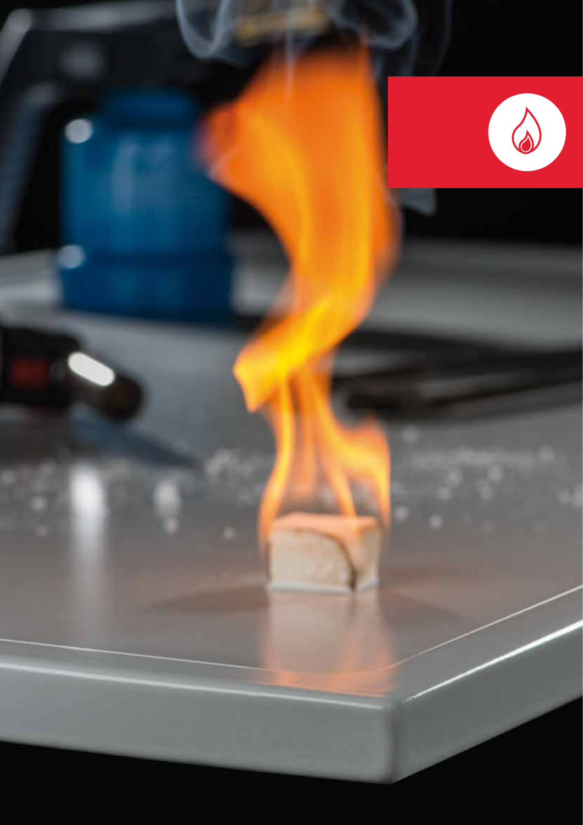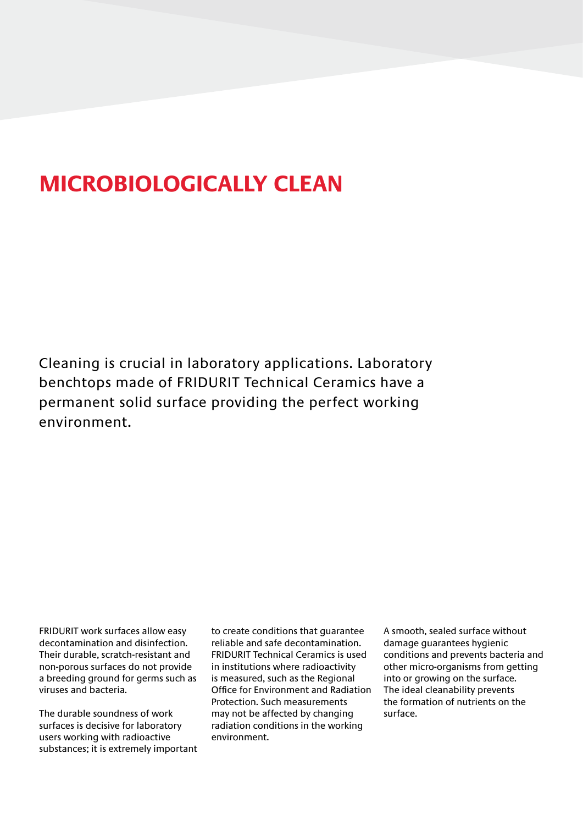### **MICROBIOLOGICALLY CLEAN**

Cleaning is crucial in laboratory applications. Laboratory benchtops made of FRIDURIT Technical Ceramics have a permanent solid surface providing the perfect working environment.

FRIDURIT work surfaces allow easy decontamination and disinfection. Their durable, scratch-resistant and non-porous surfaces do not provide a breeding ground for germs such as viruses and bacteria.

The durable soundness of work surfaces is decisive for laboratory users working with radioactive substances; it is extremely important to create conditions that guarantee reliable and safe decontamination. FRIDURIT Technical Ceramics is used in institutions where radioactivity is measured, such as the Regional Office for Environment and Radiation Protection. Such measurements may not be affected by changing radiation conditions in the working environment.

A smooth, sealed surface without damage guarantees hygienic conditions and prevents bacteria and other micro-organisms from getting into or growing on the surface. The ideal cleanability prevents the formation of nutrients on the surface.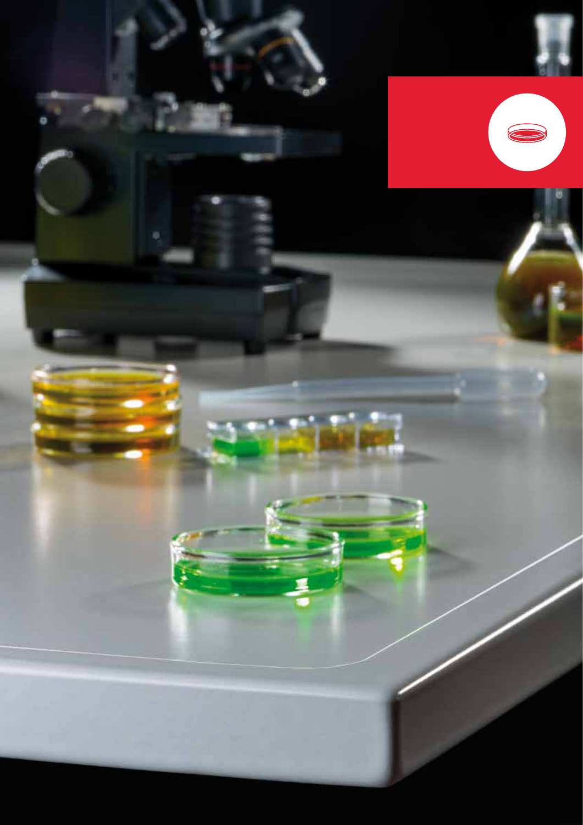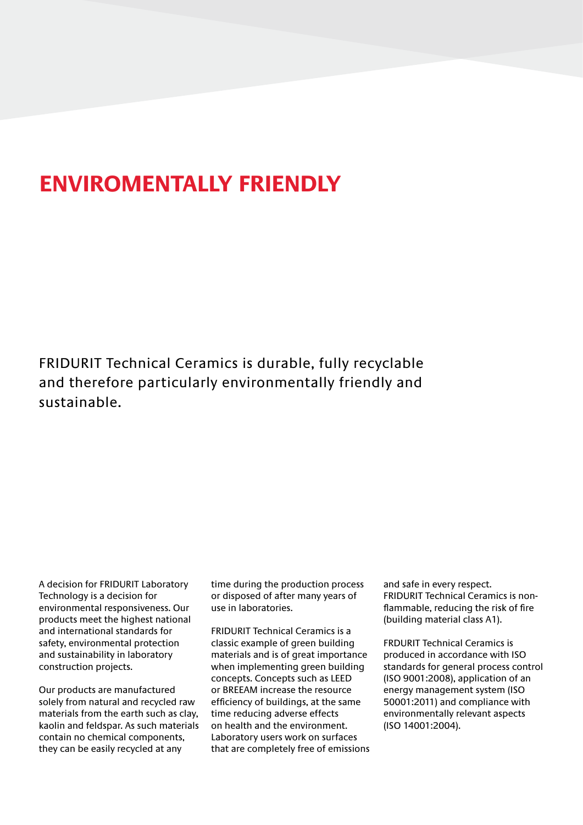### **ENVIROMENTALLY FRIENDLY**

FRIDURIT Technical Ceramics is durable, fully recyclable and therefore particularly environmentally friendly and sustainable.

A decision for FRIDURIT Laboratory Technology is a decision for environmental responsiveness. Our products meet the highest national and international standards for safety, environmental protection and sustainability in laboratory construction projects.

Our products are manufactured solely from natural and recycled raw materials from the earth such as clay, kaolin and feldspar. As such materials contain no chemical components, they can be easily recycled at any

time during the production process or disposed of after many years of use in laboratories.

FRIDURIT Technical Ceramics is a classic example of green building materials and is of great importance when implementing green building concepts. Concepts such as LEED or BREEAM increase the resource efficiency of buildings, at the same time reducing adverse effects on health and the environment. Laboratory users work on surfaces that are completely free of emissions and safe in every respect. FRIDURIT Technical Ceramics is nonflammable, reducing the risk of fire (building material class A1).

FRDURIT Technical Ceramics is produced in accordance with ISO standards for general process control (ISO 9001:2008), application of an energy management system (ISO 50001:2011) and compliance with environmentally relevant aspects (ISO 14001:2004).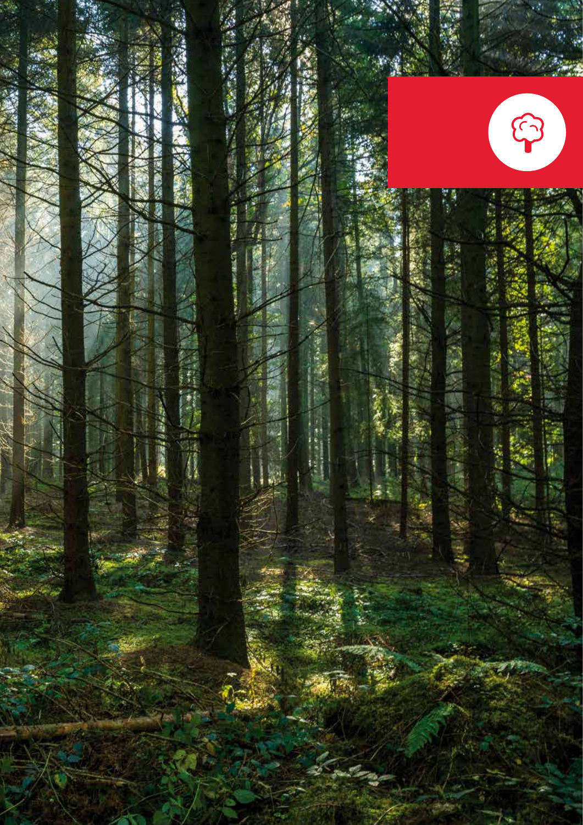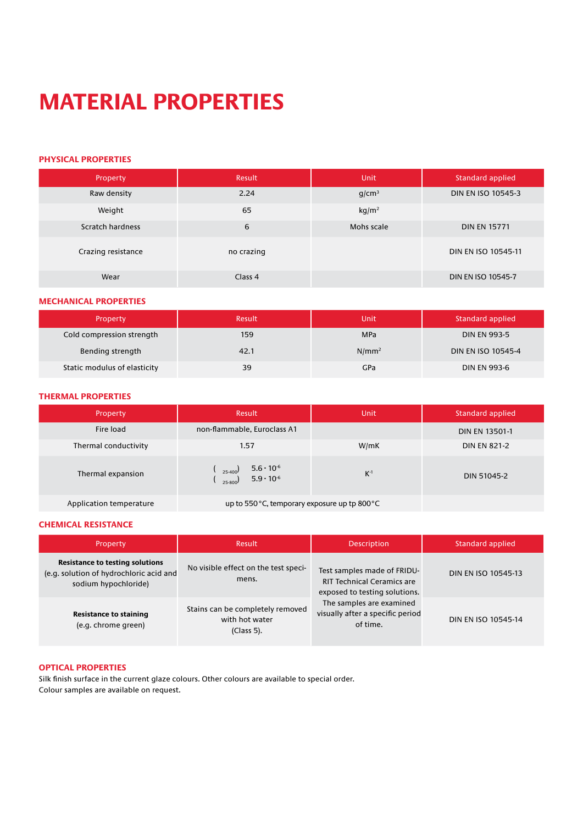# **MATERIAL PROPERTIES**

#### **PHYSICAL PROPERTIES**

| Property           | Result     | Unit              | Standard applied           |
|--------------------|------------|-------------------|----------------------------|
| Raw density        | 2.24       | g/cm <sup>3</sup> | <b>DIN EN ISO 10545-3</b>  |
| Weight             | 65         | kg/m <sup>2</sup> |                            |
| Scratch hardness   | 6          | Mohs scale        | <b>DIN EN 15771</b>        |
| Crazing resistance | no crazing |                   | <b>DIN EN ISO 10545-11</b> |
| Wear               | Class 4    |                   | <b>DIN EN ISO 10545-7</b>  |

#### **MECHANICAL PROPERTIES**

| Property                     | <b>Result</b> | Unit       | Standard applied    |
|------------------------------|---------------|------------|---------------------|
| Cold compression strength    | 159           | <b>MPa</b> | <b>DIN EN 993-5</b> |
| Bending strength             | 42.1          | $N/mm^2$   | DIN EN ISO 10545-4  |
| Static modulus of elasticity | 39            | GPa        | <b>DIN EN 993-6</b> |

#### **THERMAL PROPERTIES**

| Property                | Result                                                               | Unit     | Standard applied      |
|-------------------------|----------------------------------------------------------------------|----------|-----------------------|
| Fire load               | non-flammable, Euroclass A1                                          |          | <b>DIN EN 13501-1</b> |
| Thermal conductivity    | 1.57                                                                 | W/mK     | <b>DIN EN 821-2</b>   |
| Thermal expansion       | $5.6 \cdot 10^{-6}$<br>$5.9 \cdot 10^{-6}$<br>$25 - 400$<br>$25-800$ | $K^{-1}$ | DIN 51045-2           |
| Application temperature | up to 550 °C, temporary exposure up tp 800 °C                        |          |                       |

#### **CHEMICAL RESISTANCE**

| Property                                                                                                  | <b>Result</b>                                                    | <b>Description</b>                                                                                                                                                            | Standard applied           |
|-----------------------------------------------------------------------------------------------------------|------------------------------------------------------------------|-------------------------------------------------------------------------------------------------------------------------------------------------------------------------------|----------------------------|
| <b>Resistance to testing solutions</b><br>(e.g. solution of hydrochloric acid and<br>sodium hypochloride) | No visible effect on the test speci-<br>mens.                    | Test samples made of FRIDU-<br><b>RIT Technical Ceramics are</b><br>exposed to testing solutions.<br>The samples are examined<br>visually after a specific period<br>of time. | <b>DIN EN ISO 10545-13</b> |
| <b>Resistance to staining</b><br>(e.g. chrome green)                                                      | Stains can be completely removed<br>with hot water<br>(Class 5). |                                                                                                                                                                               | DIN EN ISO 10545-14        |

#### **OPTICAL PROPERTIES**

Silk finish surface in the current glaze colours. Other colours are available to special order. Colour samples are available on request.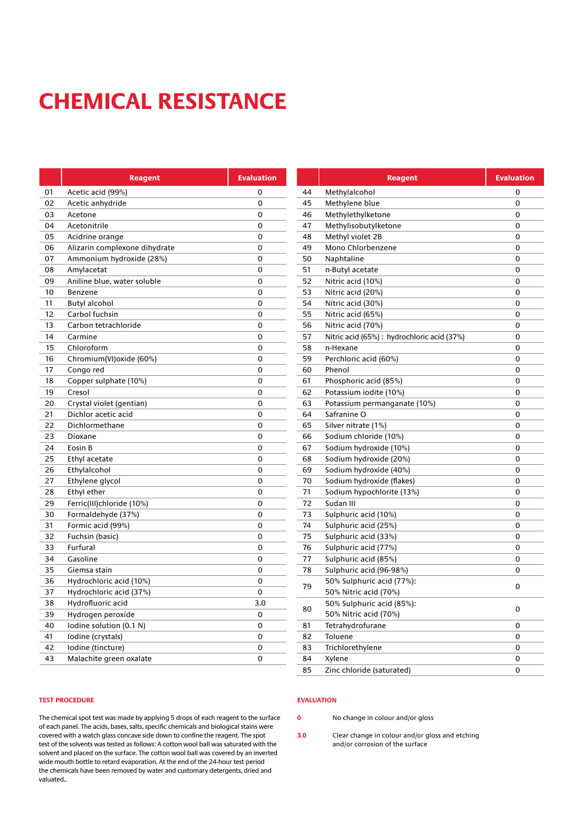# **CHEMICAL RESISTANCE**

|    | <b>Reagent</b>                | <b>Evaluation</b> |
|----|-------------------------------|-------------------|
| 01 | Acetic acid (99%)             | 0                 |
| 02 | Acetic anhydride              | 0                 |
| 03 | Acetone                       | 0                 |
| 04 | Acetonitrile                  | 0                 |
| 05 | Acidrine orange               | 0                 |
| 06 | Alizarin complexone dihydrate | 0                 |
| 07 | Ammonium hydroxide (28%)      | 0                 |
| 08 | Amylacetat                    | 0                 |
| 09 | Aniline blue, water soluble   | 0                 |
| 10 | Benzene                       | 0                 |
| 11 | <b>Butyl alcohol</b>          | 0                 |
| 12 | Carbol fuchsin                | 0                 |
| 13 | Carbon tetrachloride          | 0                 |
| 14 | Carmine                       | 0                 |
| 15 | Chloroform                    | 0                 |
| 16 | Chromium(VI) oxide (60%)      | 0                 |
| 17 | Congo red                     | 0                 |
| 18 | Copper sulphate (10%)         | 0                 |
| 19 | Cresol                        | 0                 |
| 20 | Crystal violet (gentian)      | 0                 |
| 21 | Dichlor acetic acid           | 0                 |
| 22 | Dichlormethane                | 0                 |
| 23 | Dioxane                       | 0                 |
| 24 | Eosin B                       | 0                 |
| 25 | Ethyl acetate                 | 0                 |
| 26 | Ethylalcohol                  | 0                 |
| 27 | Ethylene glycol               | 0                 |
| 28 | Ethyl ether                   | 0                 |
| 29 | Ferric(III)chloride (10%)     | 0                 |
| 30 | Formaldehyde (37%)            | 0                 |
| 31 | Formic acid (99%)             | 0                 |
| 32 | Fuchsin (basic)               | 0                 |
| 33 | Furfural                      | 0                 |
| 34 | Gasoline                      | 0                 |
| 35 | Giemsa stain                  | 0                 |
| 36 | Hydrochloric acid (10%)       | 0                 |
| 37 | Hydrochloric acid (37%)       | 0                 |
| 38 | Hydrofluoric acid             | 3.0               |
| 39 | Hydrogen peroxide             | 0                 |
| 40 | Iodine solution (0.1 N)       | 0                 |
| 41 | Iodine (crystals)             | 0                 |
| 42 | Iodine (tincture)             | 0                 |
| 43 | Malachite green oxalate       | 0                 |
|    |                               |                   |

|    | <b>Reagent</b>                              | <b>Evaluation</b> |
|----|---------------------------------------------|-------------------|
| 44 | Methylalcohol                               | 0                 |
| 45 | Methylene blue                              | 0                 |
| 46 | Methylethylketone                           | 0                 |
| 47 | Methylisobutylketone                        | 0                 |
| 48 | Methyl violet 2B                            | 0                 |
| 49 | Mono Chlorbenzene                           | 0                 |
| 50 | Naphtaline                                  | 0                 |
| 51 | n-Butyl acetate                             | 0                 |
| 52 | Nitric acid (10%)                           | 0                 |
| 53 | Nitric acid (20%)                           | 0                 |
| 54 | Nitric acid (30%)                           | 0                 |
| 55 | Nitric acid (65%)                           | 0                 |
| 56 | Nitric acid (70%)                           | 0                 |
| 57 | Nitric acid (65%) : hydrochloric acid (37%) | 0                 |
| 58 | n-Hexane                                    | 0                 |
| 59 | Perchloric acid (60%)                       | 0                 |
| 60 | Phenol                                      | 0                 |
| 61 | Phosphoric acid (85%)                       | 0                 |
| 62 | Potassium iodite (10%)                      | 0                 |
| 63 | Potassium permanganate (10%)                | 0                 |
| 64 | Safranine O                                 | 0                 |
| 65 | Silver nitrate (1%)                         | 0                 |
| 66 | Sodium chloride (10%)                       | 0                 |
| 67 | Sodium hydroxide (10%)                      | 0                 |
| 68 | Sodium hydroxide (20%)                      | 0                 |
| 69 | Sodium hydroxide (40%)                      | 0                 |
| 70 | Sodium hydroxide (flakes)                   | 0                 |
| 71 | Sodium hypochlorite (13%)                   | 0                 |
| 72 | Sudan III                                   | 0                 |
| 73 | Sulphuric acid (10%)                        | 0                 |
| 74 | Sulphuric acid (25%)                        | 0                 |
| 75 | Sulphuric acid (33%)                        | 0                 |
| 76 | Sulphuric acid (77%)                        | 0                 |
| 77 | Sulphuric acid (85%)                        | 0                 |
| 78 | Sulphuric acid (96-98%)                     | 0                 |
|    | 50% Sulphuric acid (77%):                   |                   |
| 79 | 50% Nitric acid (70%)                       | 0                 |
|    | 50% Sulphuric acid (85%):                   |                   |
| 80 | 50% Nitric acid (70%)                       | 0                 |
| 81 | Tetrahydrofurane                            | 0                 |
| 82 | Toluene                                     | 0                 |
| 83 | Trichlorethylene                            | 0                 |
| 84 | Xylene                                      | 0                 |
| 85 | Zinc chloride (saturated)                   | 0                 |

#### **EVALUATION**

- No change in colour and/or gloss
- **3.0** Clear change in colour and/or gloss and etching and/or corrosion of the surface

#### **TEST PROCEDURE**

The chemical spot test was made by applying 5 drops of each reagent to the surface of each panel. The acids, bases, salts, specific chemicals and biological stains were covered with a watch glass concave side down to confine the reagent. The spot test of the solvents was tested as follows: A cotton wool ball was saturated with the solvent and placed on the surface. The cotton wool ball was covered by an inverted wide mouth bottle to retard evaporation. At the end of the 24-hour test period the chemicals have been removed by water and customary detergents, dried and valuated..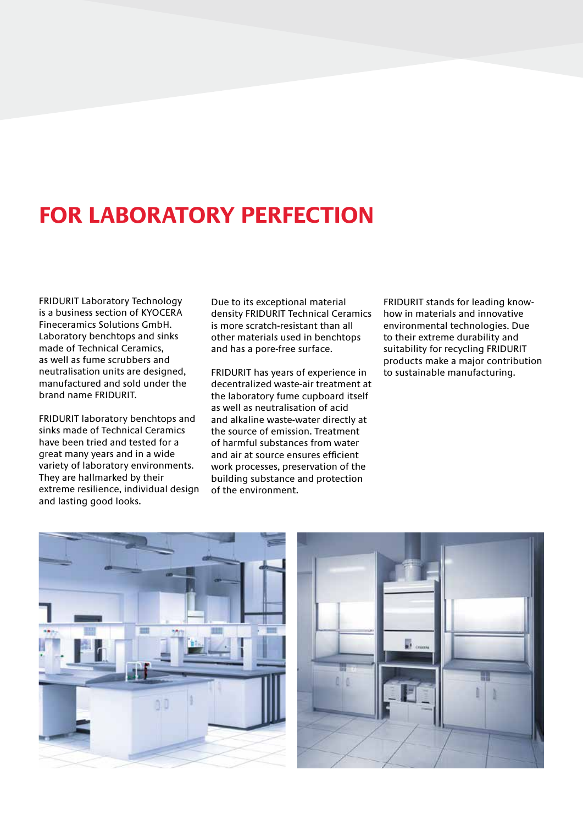### **FOR LABORATORY PERFECTION**

FRIDURIT Laboratory Technology is a business section of KYOCERA Fineceramics Solutions GmbH. Laboratory benchtops and sinks made of Technical Ceramics, as well as fume scrubbers and neutralisation units are designed, manufactured and sold under the brand name FRIDURIT.

FRIDURIT laboratory benchtops and sinks made of Technical Ceramics have been tried and tested for a great many years and in a wide variety of laboratory environments. They are hallmarked by their extreme resilience, individual design and lasting good looks.

Due to its exceptional material density FRIDURIT Technical Ceramics is more scratch-resistant than all other materials used in benchtops and has a pore-free surface.

FRIDURIT has years of experience in decentralized waste-air treatment at the laboratory fume cupboard itself as well as neutralisation of acid and alkaline waste-water directly at the source of emission. Treatment of harmful substances from water and air at source ensures efficient work processes, preservation of the building substance and protection of the environment.

FRIDURIT stands for leading knowhow in materials and innovative environmental technologies. Due to their extreme durability and suitability for recycling FRIDURIT products make a major contribution to sustainable manufacturing.



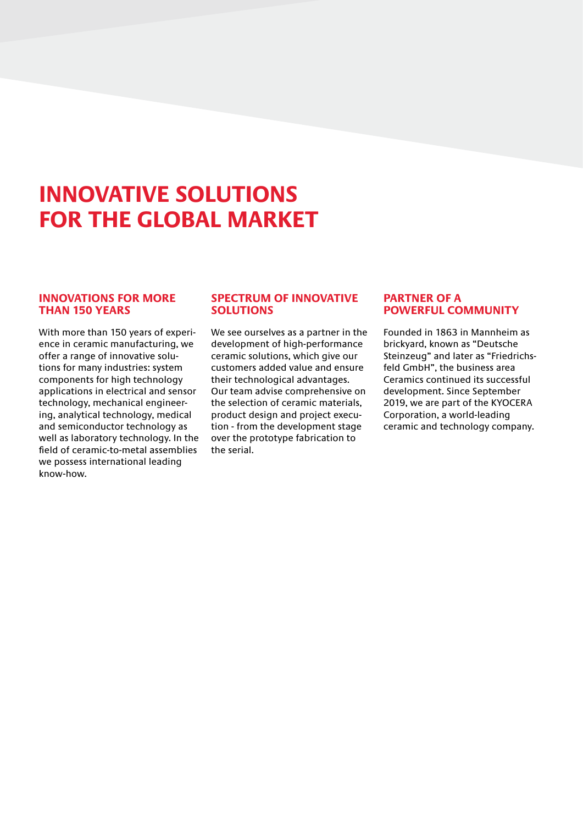# **INNOVATIVE SOLUTIONS FOR THE GLOBAL MARKET**

#### **INNOVATIONS FOR MORE THAN 150 YEARS**

With more than 150 years of experience in ceramic manufacturing, we offer a range of innovative solutions for many industries: system components for high technology applications in electrical and sensor technology, mechanical engineering, analytical technology, medical and semiconductor technology as well as laboratory technology. In the field of ceramic-to-metal assemblies we possess international leading know-how.

#### **SPECTRUM OF INNOVATIVE SOLUTIONS**

We see ourselves as a partner in the development of high-performance ceramic solutions, which give our customers added value and ensure their technological advantages. Our team advise comprehensive on the selection of ceramic materials, product design and project execution - from the development stage over the prototype fabrication to the serial.

#### **PARTNER OF A POWERFUL COMMUNITY**

Founded in 1863 in Mannheim as brickyard, known as "Deutsche Steinzeug" and later as "Friedrichsfeld GmbH", the business area Ceramics continued its successful development. Since September 2019, we are part of the KYOCERA Corporation, a world-leading ceramic and technology company.